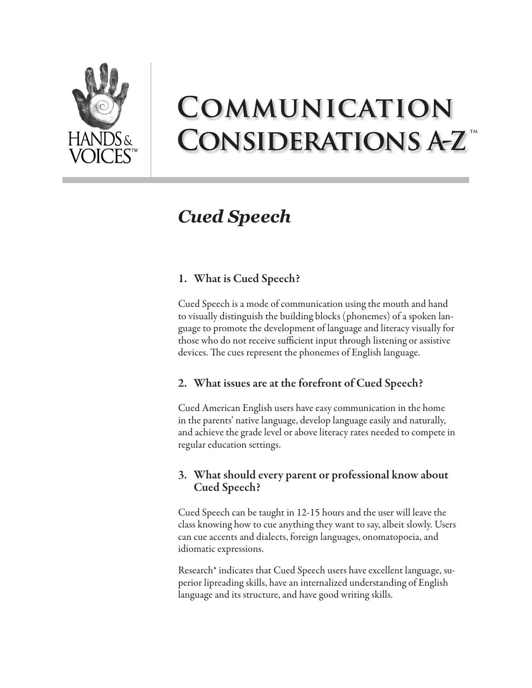

# COMMUNICATION **CONSIDERATIONS A-Z**

# *Cued Speech*

## 1. What is Cued Speech?

Cued Speech is a mode of communication using the mouth and hand to visually distinguish the building blocks (phonemes) of a spoken language to promote the development of language and literacy visually for those who do not receive sufficient input through listening or assistive devices. The cues represent the phonemes of English language.

### 2. What issues are at the forefront of Cued Speech?

Cued American English users have easy communication in the home in the parents' native language, develop language easily and naturally, and achieve the grade level or above literacy rates needed to compete in regular education settings.

### 3. What should every parent or professional know about Cued Speech?

Cued Speech can be taught in 12-15 hours and the user will leave the class knowing how to cue anything they want to say, albeit slowly. Users can cue accents and dialects, foreign languages, onomatopoeia, and idiomatic expressions.

Research\* indicates that Cued Speech users have excellent language, superior lipreading skills, have an internalized understanding of English language and its structure, and have good writing skills.